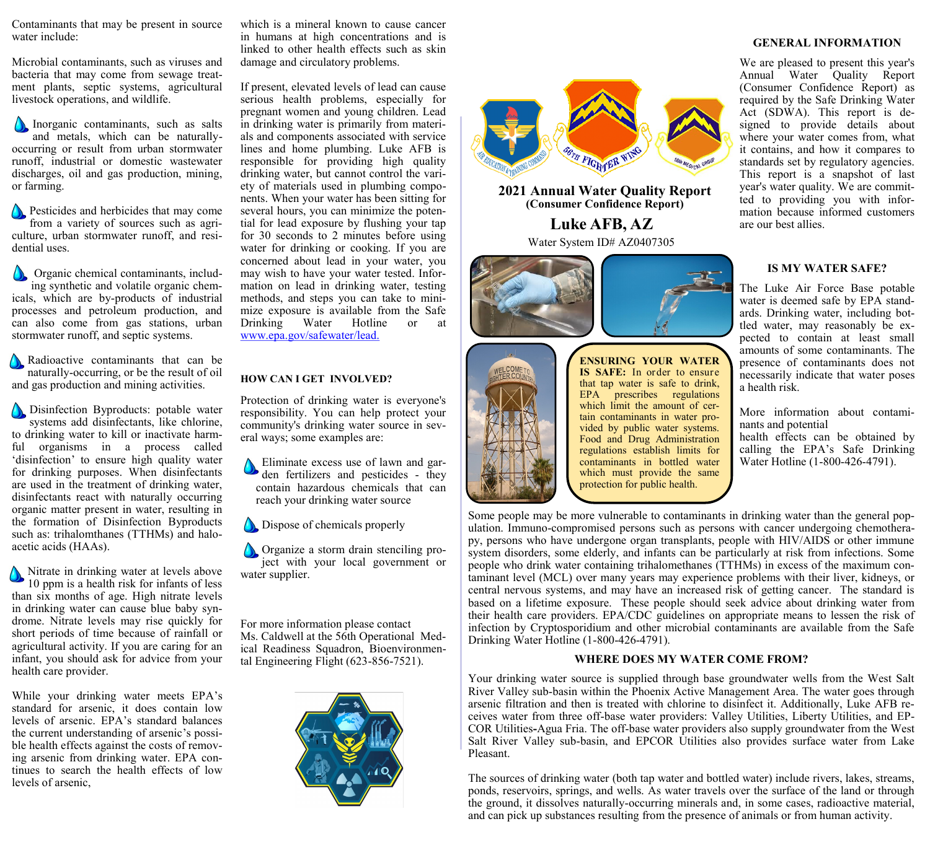Contaminants that may be present in source water include:

Microbial contaminants, such as viruses and bacteria that may come from sewage treatment plants, septic systems, agricultural livestock operations, and wildlife.

Inorganic contaminants, such as salts and metals, which can be naturallyoccurring or result from urban stormwater runoff, industrial or domestic wastewater discharges, oil and gas production, mining, or farming.

**Pesticides and herbicides that may come** from a variety of sources such as agriculture, urban stormwater runoff, and residential uses.

**Organic chemical contaminants, includ**ing synthetic and volatile organic chemicals, which are by-products of industrial processes and petroleum production, and can also come from gas stations, urban stormwater runoff, and septic systems.

Radioactive contaminants that can be naturally-occurring, or be the result of oil and gas production and mining activities.

Disinfection Byproducts: potable water systems add disinfectants, like chlorine, to drinking water to kill or inactivate harmful organisms in a process called 'disinfection' to ensure high quality water for drinking purposes. When disinfectants are used in the treatment of drinking water, disinfectants react with naturally occurring organic matter present in water, resulting in the formation of Disinfection Byproducts such as: trihalomthanes (TTHMs) and haloacetic acids (HAAs).

Nitrate in drinking water at levels above 10 ppm is a health risk for infants of less than six months of age. High nitrate levels in drinking water can cause blue baby syndrome. Nitrate levels may rise quickly for short periods of time because of rainfall or agricultural activity. If you are caring for an infant, you should ask for advice from your health care provider.

While your drinking water meets EPA's standard for arsenic, it does contain low levels of arsenic. EPA's standard balances the current understanding of arsenic's possible health effects against the costs of removing arsenic from drinking water. EPA continues to search the health effects of low levels of arsenic,

which is a mineral known to cause cancer in humans at high concentrations and is linked to other health effects such as skin damage and circulatory problems.

If present, elevated levels of lead can cause serious health problems, especially for pregnant women and young children. Lead in drinking water is primarily from materials and components associated with service lines and home plumbing. Luke AFB is responsible for providing high quality drinking water, but cannot control the variety of materials used in plumbing components. When your water has been sitting for several hours, you can minimize the potential for lead exposure by flushing your tap for 30 seconds to 2 minutes before using water for drinking or cooking. If you are concerned about lead in your water, you may wish to have your water tested. Information on lead in drinking water, testing methods, and steps you can take to minimize exposure is available from the Safe Drinking Water Hotline or at [www.epa.gov/safewater/lead.](http://www.epa.gov/safewater/lead)

### **HOW CAN I GET INVOLVED?**

Protection of drinking water is everyone's responsibility. You can help protect your community's drinking water source in several ways; some examples are:

Eliminate excess use of lawn and garden fertilizers and pesticides - they contain hazardous chemicals that can reach your drinking water source

Dispose of chemicals properly

**Organize a storm drain stenciling pro**ject with your local government or water supplier.

For more information please contact Ms. Caldwell at the 56th Operational Medical Readiness Squadron, Bioenvironmental Engineering Flight (623-856-7521).





**2021 Annual Water Quality Report (Consumer Confidence Report)** 

> **Luke AFB, AZ** Water System ID# AZ0407305





**ENSURING YOUR WATER IS SAFE:** In order to ensure that tap water is safe to drink, EPA prescribes regulations which limit the amount of certain contaminants in water provided by public water systems. Food and Drug Administration regulations establish limits for contaminants in bottled water which must provide the same protection for public health.

#### **GENERAL INFORMATION**

We are pleased to present this year's Annual Water Quality Report (Consumer Confidence Report) as required by the Safe Drinking Water Act (SDWA). This report is designed to provide details about where your water comes from, what it contains, and how it compares to standards set by regulatory agencies. This report is a snapshot of last year's water quality. We are committed to providing you with information because informed customers are our best allies.

### **IS MY WATER SAFE?**

The Luke Air Force Base potable water is deemed safe by EPA standards. Drinking water, including bottled water, may reasonably be expected to contain at least small amounts of some contaminants. The presence of contaminants does not necessarily indicate that water poses a health risk.

More information about contaminants and potential

health effects can be obtained by calling the EPA's Safe Drinking Water Hotline (1-800-426-4791).

Some people may be more vulnerable to contaminants in drinking water than the general population. Immuno-compromised persons such as persons with cancer undergoing chemotherapy, persons who have undergone organ transplants, people with HIV/AIDS or other immune system disorders, some elderly, and infants can be particularly at risk from infections. Some people who drink water containing trihalomethanes (TTHMs) in excess of the maximum contaminant level (MCL) over many years may experience problems with their liver, kidneys, or central nervous systems, and may have an increased risk of getting cancer. The standard is based on a lifetime exposure. These people should seek advice about drinking water from their health care providers. EPA/CDC guidelines on appropriate means to lessen the risk of infection by Cryptosporidium and other microbial contaminants are available from the Safe Drinking Water Hotline (1-800-426-4791).

### **WHERE DOES MY WATER COME FROM?**

Your drinking water source is supplied through base groundwater wells from the West Salt River Valley sub-basin within the Phoenix Active Management Area. The water goes through arsenic filtration and then is treated with chlorine to disinfect it. Additionally, Luke AFB receives water from three off-base water providers: Valley Utilities, Liberty Utilities, and EP-COR Utilities**-**Agua Fria. The off-base water providers also supply groundwater from the West Salt River Valley sub-basin, and EPCOR Utilities also provides surface water from Lake Pleasant.

The sources of drinking water (both tap water and bottled water) include rivers, lakes, streams, ponds, reservoirs, springs, and wells. As water travels over the surface of the land or through the ground, it dissolves naturally-occurring minerals and, in some cases, radioactive material, and can pick up substances resulting from the presence of animals or from human activity.